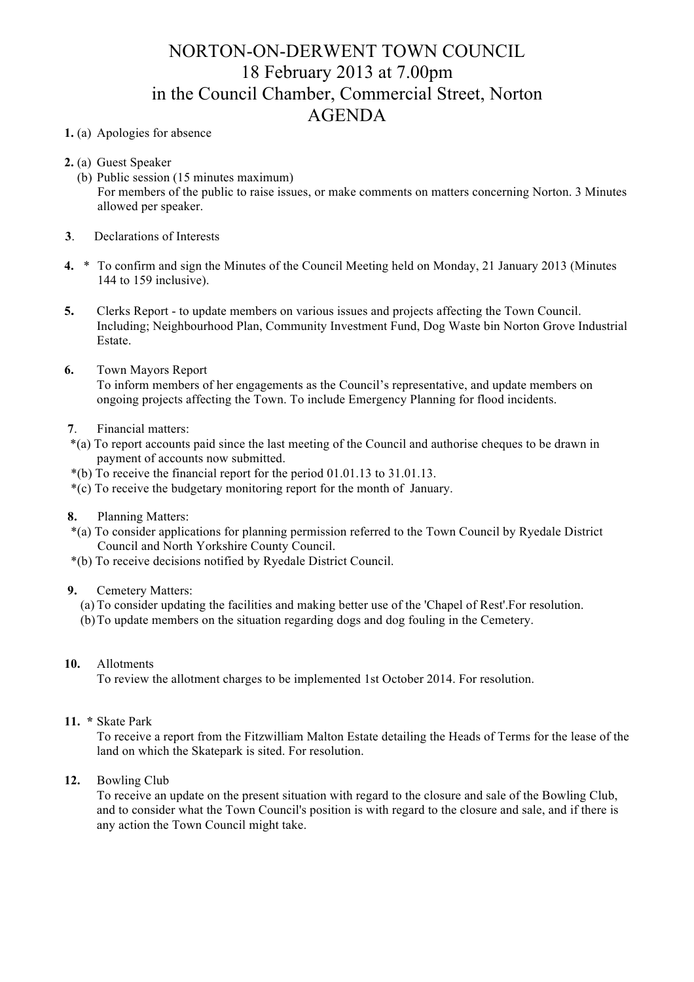## NORTON-ON-DERWENT TOWN COUNCIL 18 February 2013 at 7.00pm in the Council Chamber, Commercial Street, Norton AGENDA

## **1.** (a) Apologies for absence

- **2.** (a) Guest Speaker
	- (b) Public session (15 minutes maximum) For members of the public to raise issues, or make comments on matters concerning Norton. 3 Minutes allowed per speaker.
- **3**. Declarations of Interests
- **4.** \* To confirm and sign the Minutes of the Council Meeting held on Monday, 21 January 2013 (Minutes 144 to 159 inclusive).
- **5.** Clerks Report to update members on various issues and projects affecting the Town Council. Including; Neighbourhood Plan, Community Investment Fund, Dog Waste bin Norton Grove Industrial Estate.
- **6.** Town Mayors Report

 To inform members of her engagements as the Council's representative, and update members on ongoing projects affecting the Town. To include Emergency Planning for flood incidents.

## **7**. Financial matters:

- \*(a) To report accounts paid since the last meeting of the Council and authorise cheques to be drawn in payment of accounts now submitted.
- \*(b) To receive the financial report for the period 01.01.13 to 31.01.13.
- \*(c) To receive the budgetary monitoring report for the month of January.
- **8.** Planning Matters:
- \*(a) To consider applications for planning permission referred to the Town Council by Ryedale District Council and North Yorkshire County Council.
- \*(b) To receive decisions notified by Ryedale District Council.

## **9.** Cemetery Matters:

- (a) To consider updating the facilities and making better use of the 'Chapel of Rest'.For resolution.
- (b)To update members on the situation regarding dogs and dog fouling in the Cemetery.
- **10.** Allotments

To review the allotment charges to be implemented 1st October 2014. For resolution.

**11. \*** Skate Park

To receive a report from the Fitzwilliam Malton Estate detailing the Heads of Terms for the lease of the land on which the Skatepark is sited. For resolution.

**12.** Bowling Club

To receive an update on the present situation with regard to the closure and sale of the Bowling Club, and to consider what the Town Council's position is with regard to the closure and sale, and if there is any action the Town Council might take.